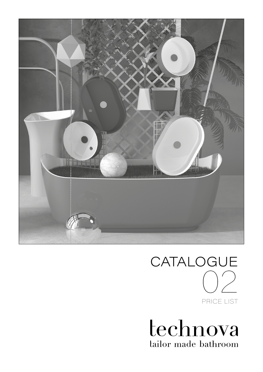

# CATALOGUE PRICE LIST 02

technova tailor made bathroom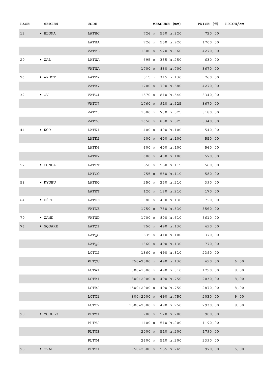| SERIES           | $\texttt{CODE}$                    | MEASURE (mm)                                       | PRICE $(\epsilon)$ PRICE/cm                                                                                                                       |                                                              |
|------------------|------------------------------------|----------------------------------------------------|---------------------------------------------------------------------------------------------------------------------------------------------------|--------------------------------------------------------------|
| $\bullet$ BLUMA  | LATBC                              | 726 x 550 h.320                                    | 720,00                                                                                                                                            |                                                              |
|                  | LATBA                              | 726 x 550 h.920                                    | 1700,00                                                                                                                                           |                                                              |
|                  | VATBL                              | $1800 \times 920 h.660$                            | 4270,00                                                                                                                                           |                                                              |
| $\bullet$ WAL    | LATWA                              | $695 \times 385$ h.250                             | 630,00                                                                                                                                            |                                                              |
|                  | VATWA                              | $1700 \times 830 h.700$                            | 3670,00                                                                                                                                           |                                                              |
| • ARBOT          | LATRR                              | $515 \times 315 \text{ h}.130$                     | 760,00                                                                                                                                            |                                                              |
|                  | VATR7                              | $1700 \times 700 h.580$                            | 4270,00                                                                                                                                           |                                                              |
| $\bullet$ OV     | VATO4                              | $1570 \times 810 h.540$                            | 3340,00                                                                                                                                           |                                                              |
|                  | VATO7                              | $1760 \times 910 h.525$                            | 3670,00                                                                                                                                           |                                                              |
|                  | VATO5                              | 1500 × 730 h.525                                   | 3180,00                                                                                                                                           |                                                              |
|                  | VATO6                              | $1650 \times 800 h.525$                            | 3340,00                                                                                                                                           |                                                              |
| $\bullet$ KOR    | LATK1                              | 400 x 400 h.100                                    | 540,00                                                                                                                                            |                                                              |
|                  | LATK2                              | $400 \times 400 h.100$                             | 550,00                                                                                                                                            |                                                              |
|                  | LATK6                              | $600 \times 400 h.100$                             | 560,00                                                                                                                                            |                                                              |
|                  | LATK7                              | $600 \times 400 h.100$                             | 570,00                                                                                                                                            |                                                              |
| $\bullet$ CONCA  | LATCT                              | 550 x 550 h.115                                    | 560,00                                                                                                                                            |                                                              |
|                  | LATCO                              | $755 \times 550 \text{ h}.110$                     | 580,00                                                                                                                                            |                                                              |
| $\bullet$ KYUBU  | LATRQ                              | $250 \times 250$ h.210                             | 390,00                                                                                                                                            |                                                              |
|                  | LATRT                              | $120 \times 120 h.210$                             | 170,00                                                                                                                                            |                                                              |
| $\bullet$ DÉCO   | LATDE                              | 680 × 400 h.130                                    | 720,00                                                                                                                                            |                                                              |
|                  | VATDE                              | 1750 × 750 h.530                                   | 3560,00                                                                                                                                           |                                                              |
| $\bullet$ WAND   | VATWD                              | $1700 \times 800 h.610$                            | 3610,00                                                                                                                                           |                                                              |
| $\bullet$ SQUARE | LATQ1                              | 750 × 490 h.130                                    | 490,00                                                                                                                                            |                                                              |
|                  | LATQS                              | $535 \times 410 h.100$                             | 370,00                                                                                                                                            |                                                              |
|                  | LATQ2                              | $1360 \times 490 h.130$                            | 770,00                                                                                                                                            |                                                              |
|                  | LCTQ2                              | 1360 x 490 h.810                                   | 2390,00                                                                                                                                           |                                                              |
|                  | PLTQU                              | 750÷2500 × 490 h.130                               | 490,00                                                                                                                                            | 6,00                                                         |
|                  | LCTA1                              | $800 \div 1500 \times 490 \text{ h.}810$           | 1790,00                                                                                                                                           | 8,00                                                         |
|                  | LCTB1                              | $800 \div 2000 \times 490 h.750$                   | 2030,00                                                                                                                                           | 8,00                                                         |
|                  | LCTB2                              | 1500÷2000 × 490 h.750                              | 2870,00                                                                                                                                           | 8,00                                                         |
|                  | LCTC1                              | $800 \div 2000 \times 490 \text{ h.}750$           | 2030,00                                                                                                                                           | 9,00                                                         |
|                  |                                    |                                                    |                                                                                                                                                   | 9,00                                                         |
|                  |                                    |                                                    |                                                                                                                                                   |                                                              |
|                  |                                    |                                                    |                                                                                                                                                   |                                                              |
|                  |                                    |                                                    |                                                                                                                                                   |                                                              |
|                  |                                    |                                                    |                                                                                                                                                   |                                                              |
|                  |                                    |                                                    |                                                                                                                                                   | 6,00                                                         |
|                  | $\bullet$ MODULO<br>$\bullet$ OVAL | LCTC2<br>PLTM1<br>PLTM2<br>PLTM3<br>PLTM4<br>PLTO1 | 1500÷2000 × 490 h.750<br>$700 \times 520 h.200$<br>$1400 \times 510 h.200$<br>$2000 \times 510 h.200$<br>2600 x 510 h.200<br>750÷2500 × 555 h.245 | 2930,00<br>900,00<br>1190,00<br>1790,00<br>2390,00<br>970,00 |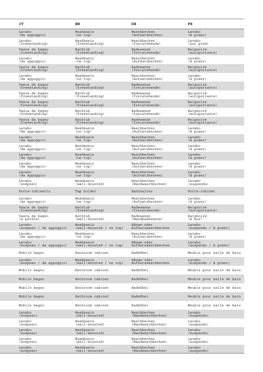| IT                                   | EN                          | DE                               | FR                          |
|--------------------------------------|-----------------------------|----------------------------------|-----------------------------|
| Lavabo                               | Washbasin                   | Waschbecken                      | Lavabo                      |
| (da appoggio)                        | (on top)                    | (Aufsatzbecken)                  | (à poser)                   |
| Lavabo                               | Washbasin                   | Waschbecken                      | Lavabo                      |
| (freestanding)                       | (freestanding)              | (freistehende)                   | (sur pied)                  |
| Vasca da bagno                       | Bathtub                     | Badewanne                        | Baignoire                   |
| (freestanding)                       | (freestanding)              | (freistehende)                   | (autoportante)              |
| Lavabo                               | Washbasin                   | Waschbecken                      | Lavabo                      |
| (da appoggio)                        | (on top)                    | (Aufsatzbecken)                  | (à poser)                   |
| Vasca da bagno                       | Bathtub                     | Badewanne                        | Baignoire                   |
| (freestanding)                       | (freestanding)              | (freistehende)                   | (autoportante)              |
| Lavabo                               | Washbasin                   | Waschbecken                      | Lavabo                      |
| (da appoggio)                        | (on top)                    | (Aufsatzbecken)                  | (à poser)                   |
| Vasca da bagno                       | Bathtub                     | Badewanne                        | Baignoire                   |
| (freestanding)                       | (freestanding)              | (freistehende)                   | (autoportante)              |
| Vasca da baqno                       | Bathtub                     | Badewanne                        | Baignoire                   |
| (freestanding)                       | (freestanding)              | (freistehende)                   | (autoportante)              |
| Vasca da bagno<br>(freestanding)     | Bathtub<br>(freestanding)   | Badewanne<br>(freistehende)      | Baignoire<br>(autoportante) |
| Vasca da bagno                       | Bathtub                     | Badewanne                        | Baignoire                   |
| (freestanding)                       | (freestanding)              | (freistehende)                   | (autoportante)              |
| Vasca da bagno                       | Bathtub                     | Badewanne                        | Baignoire                   |
| (freestanding)                       | (freestanding)              | (freistehende)                   | (autoportante)              |
| Lavabo                               | Washbasin                   | Waschbecken                      | Lavabo                      |
| (da appoggio)                        | (on top)                    | (Aufsatzbecken)                  | (à poser)                   |
| Lavabo                               | Washbasin                   | Waschbecken                      | Lavabo                      |
| (da appoggio)                        | (on top)                    | (Aufsatzbecken)                  | (à poser)                   |
| Lavabo                               | Washbasin                   | Waschbecken                      | Lavabo                      |
| (da appoggio)                        | (on top)                    | (Aufsatzbecken)                  | (à poser)                   |
| Lavabo                               | Washbasin                   | Waschbecken                      | Lavabo                      |
| (da appoggio)                        | (on top)                    | (Aufsatzbecken)                  | (à poser)                   |
| Lavabo                               | Washbasin                   | Waschbecken                      | Lavabo                      |
| (da appoggio)                        | (on top)                    | (Aufsatzbecken)                  | (à poser)                   |
| Lavabo                               | Washbasin<br>(on top)       | Waschbecken<br>(Aufsatzbecken)   | Lavabo<br>(à poser)         |
| (da appoggio)<br>Lavabo<br>(sospeso) | Washbasin<br>(wall-mounted) | Waschbecken<br>(Wandwaschbecken) | Lavabo<br>(suspendu)        |
| Porta-rubinetto                      | Tap holder                  | Hahnhalter                       | Porte-robinet               |
| Lavabo                               | Washbasin                   | Waschbecken                      | Lavabo                      |
| (da appoggio)                        | (on top)                    | (Aufsatzbecken)                  | (à poser)                   |
| Vasca da bagno                       | Bathtub                     | Badewanne                        | Baignoire                   |
| (freestanding)                       | (freestanding)              | (freistehende)                   | (autoportante)              |
| Vasca da bagno                       | Bathtub                     | Badewanne                        | Baignoire                   |
| (a parete)                           | (wall-mounted)              | (Wandbadewanne)                  | (à mur)                     |
| Lavabo                               | Washbasin                   | Hänge-oder                       | Lavabo                      |
| (sospeso / da appoggio)              | (wall-mounted / on top)     | Aufsatzwaschbecken               | (suspendu / à poser)        |
| Lavabo                               | Washbasin                   | Waschbecken                      | Lavabo                      |
| (da appoggio)                        | (on top)                    | (Aufsatzbecken)                  | (à poser)                   |
| Lavabo                               | Washbasin                   | Hänge-oder                       | Lavabo                      |
| (sospeso / da appoggio)              | (wall-mounted / on top)     | Aufsatzwaschbecken               | (suspendu / à poser)        |
| Mobile bagno                         | Bathroom cabinet            | Badmöbel                         | Meuble pour salle de bain   |
| Lavabo                               | Washbasin                   | Hänge-oder                       | Lavabo                      |
| (sospeso / da appoggio)              | (wall-mounted / on top)     | Aufsatzwaschbecken               | (suspendu / à poser)        |
| Mobile bagno                         | Bathroom cabinet            | Badmöbel                         | Meuble pour salle de bain   |
| Mobile bagno                         | Bathroom cabinet            | Badmöbel                         | Meuble pour salle de bain   |
| Mobile bagno                         | Bathroom cabinet            | Badmöbel                         | Meuble pour salle de bain   |
| Mobile bagno                         | Bathroom cabinet            | Badmöbel                         | Meuble pour salle de bain   |
| Mobile bagno                         | Bathroom cabinet            | Badmöbel                         | Meuble pour salle de bain   |
| Lavabo                               | Washbasin                   | Waschbecken                      | Lavabo                      |
| (sospeso)                            | (wall-mounted)              | (Wandwaschbecken)                | (suspendu)                  |
| Lavabo                               | Washbasin                   | Waschbecken                      | Lavabo                      |
| (sospeso)                            | (wall-mounted)              | (Wandwaschbecken)                | (suspendu)                  |
| Lavabo                               | Washbasin                   | Waschbecken                      | Lavabo                      |
| (sospeso)                            | (wall-mounted)              | (Wandwaschbecken)                | (suspendu)                  |
| Lavabo                               | Washbasin                   | Waschbecken                      | Lavabo                      |
| (sospeso)                            | (wall-mounted)              | (Wandwaschbecken)                | (suspendu)                  |
| Lavabo<br>(sospeso)                  | Washbasin<br>(wall-mounted) | Waschbecken<br>(Wandwaschbecken) |                             |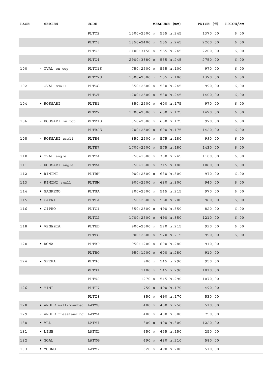| PAGE | <b>SERIES</b>              | CODE            | MEASURE (mm)                              | PRICE $(\epsilon)$ | PRICE/cm |  |
|------|----------------------------|-----------------|-------------------------------------------|--------------------|----------|--|
|      |                            | PLTO2           | 1500÷2500 × 555 h.245                     | 1370,00            | 6,00     |  |
|      |                            | PLTO8           | 1850÷2400 × 555 h.245                     | 2200,00            | 6,00     |  |
|      |                            | PLTO3           | 2100÷3150 × 555 h.245                     | 2200,00            | 6,00     |  |
|      |                            | PLTO4           | 2900÷3880 × 555 h.245                     | 2750,00            | 6,00     |  |
| 100  | - OVAL on top              | PLTO1S          | 750÷2500 x 555 h.100                      | 970,00             | 6,00     |  |
|      |                            | PLTO2S          | $1500 \div 2500 \times 555 h.100$         | 1370,00            | 6,00     |  |
| 102  | - OVAL small               | PLTOS           | 850÷2500 x 530 h.245                      | 990,00             | 6,00     |  |
|      |                            | PLTOT           | $1700 \div 2500 \times 530 h.245$         | 1400,00            | 6,00     |  |
| 104  | • ROSSARI                  | PLTR1           | 850÷2500 × 600 h.175                      | 970,00             | 6,00     |  |
|      |                            | PLTR2           | $1700 \div 2500 \times 600 \text{ h.}175$ | 1420,00            | 6,00     |  |
| 106  | - ROSSARI on top           | PLTR1S          | 850÷2500 x 600 h.175                      | 970,00             | 6,00     |  |
|      |                            | PLTR2S          | $1700 \div 2500 \times 600 \text{ h.}175$ | 1420,00            | 6,00     |  |
| 108  | - ROSSARI small            | PLTR6           | 850÷2500 × 575 h.180                      | 990,00             | 6,00     |  |
|      |                            | PLTR7           | $1700 \div 2500 \times 575 \text{ h.}180$ | 1430,00            | 6,00     |  |
| 110  | • OVAL angle               | PLTOA           | 750÷1500 × 300 h.245                      | 1100,00            | 6,00     |  |
| 111  | - ROSSARI angle            | PLTRA           | 750÷1500 x 315 h.180                      | 1080,00            | 6,00     |  |
| 112  | • RIMINI                   | PLTRN           | $900 \div 2500 \times 630 h.300$          | 970,00             | 6,00     |  |
| 113  | - RIMINI small             | PLTSM           | $900 \div 2500 \times 630 h.300$          | 940,00             | 6,00     |  |
| 114  | • SANREMO                  | PLTSA           | 800÷2500 × 545 h.215                      | 970,00             | 6,00     |  |
| 115  | $\bullet$ CAPRI            | PLTCA           | $750 \div 2500 \times 550 h.200$          | 960,00             | 6,00     |  |
| 116  | $\bullet$ CIPRO            | PLTC1           | 850÷2500 × 490 h.350                      | 820,00             | 6,00     |  |
|      |                            | $\verb!PLTC2!!$ | $1700 \div 2500 \times 490 \text{ h.}350$ | 1210,00            | 6,00     |  |
| 118  | • VENEZIA                  | PLTED           | 900÷2500 x 520 h.215                      | 990,00             | 6,00     |  |
|      |                            | PLTES           | $900 \div 2500 \times 520 \text{ h.215}$  | 990,00             | 6,00     |  |
| 120  | $\bullet$ ROMA             | PLTRP           | $950 \div 1200 \times 600 h.280$          | 910,00             |          |  |
|      |                            | PLTRO           | $950 \div 1200 \times 600 h.280$          | 910,00             |          |  |
| 124  | $\bullet$ SFERA            | PLTS0           | $900 \times 545 h.290$                    | 950,00             |          |  |
|      |                            | PLTS1           | $1100 \times 545 h.290$                   | 1010,00            |          |  |
|      |                            | PLTS2           | 1270 x 545 h.290                          | 1070,00            |          |  |
| 126  | $\bullet$ MINI             | PLTI7           | 750 x 490 h.170                           | 490,00             |          |  |
|      |                            | PLTI8           | 850 x 490 h.170                           | 530,00             |          |  |
| 128  | • ANGLE wall-mounted LATMS |                 | $400 \times 400 h.250$                    | 510,00             |          |  |
| 129  | - ANGLE freestanding LATMA |                 | $400 \times 400 h.800$                    | 750,00             |          |  |
| 130  | $\bullet$ ALL              | LATMI           | 800 x 400 h.800                           | 1220,00            |          |  |
| 131  | $\bullet$ LINE             | LATML           | 650 x 455 h.150                           | 250,00             |          |  |
| 132  | $\bullet$ GOAL             | LATMG           | 490 x 480 h.210                           | 580,00             |          |  |
| 133  | $\bullet$ YOUNG            | LATMY           | $620 \times 490$ h.200                    | 510,00             |          |  |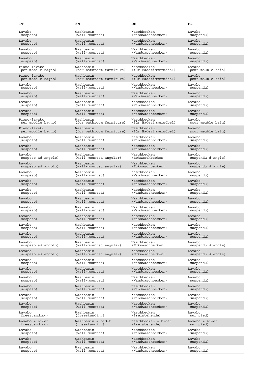| IT                  | EN                       | DE                    | FR                 |
|---------------------|--------------------------|-----------------------|--------------------|
| Lavabo              | Washbasin                | Waschbecken           | Lavabo             |
| (sospeso)           | (wall-mounted)           | (Wandwaschbecken)     | (suspendu)         |
| Lavabo              | Washbasin                | Waschbecken           | Lavabo             |
| (sospeso)           | (wall-mounted)           | (Wandwaschbecken)     | (suspendu)         |
| Lavabo              | Washbasin                | Waschbecken           | Lavabo             |
| (sospeso)           | (wall-mounted)           | (Wandwaschbecken)     | (suspendu)         |
| Lavabo              | Washbasin                | Waschbecken           | Lavabo             |
| (sospeso)           | (wall-mounted)           | (Wandwaschbecken)     | (suspendu)         |
| Piano-lavabo        | Washbasin                | Waschbecken           | Lavabo             |
| (per mobile bagno)  | (for bathroom furniture) | (für Badezimmermöbel) | (pour meuble bain) |
| Piano-lavabo        | Washbasin                | Waschbecken           | Lavabo             |
| (per mobile bagno)  | (for bathroom furniture) | (für Badezimmermöbel) | (pour meuble bain) |
| Lavabo              | Washbasin                | Waschbecken           | Lavabo             |
| (sospeso)           | (wall-mounted)           | (Wandwaschbecken)     | (suspendu)         |
| Lavabo              | Washbasin                | Waschbecken           | Lavabo             |
| (sospeso)           | (wall-mounted)           | (Wandwaschbecken)     | (suspendu)         |
| Lavabo              | Washbasin                | Waschbecken           | Lavabo             |
| (sospeso)           | (wall-mounted)           | (Wandwaschbecken)     | (suspendu)         |
| Lavabo              | Washbasin                | Waschbecken           | Lavabo             |
| (sospeso)           | (wall-mounted)           | (Wandwaschbecken)     | (suspendu)         |
| Piano-lavabo        | Washbasin                | Waschbecken           | Lavabo             |
| (per mobile bagno)  | (for bathroom furniture) | (für Badezimmermöbel) | (pour meuble bain) |
| Piano-lavabo        | Washbasin                | Waschbecken           | Lavabo             |
| (per mobile bagno)  | (for bathroom furniture) | (für Badezimmermöbel) | (pour meuble bain) |
| Lavabo              | Washbasin                | Waschbecken           | Lavabo             |
| (sospeso)           | (wall-mounted)           | (Wandwaschbecken)     | (suspendu)         |
| Lavabo              | Washbasin                | Waschbecken           | Lavabo             |
| (sospeso)           | (wall-mounted)           | (Wandwaschbecken)     | (suspendu)         |
| Lavabo              | Washbasin                | Waschbecken           | Lavabo             |
| (sospeso ad angolo) | (wall-mounted angular)   | (Eckwaschbecken)      | (suspendu d'angle) |
| Lavabo              | Washbasin                | Waschbecken           | Lavabo             |
| (sospeso ad angolo) | (wall-mounted angular)   | (Eckwaschbecken)      | (suspendu d'angle) |
| Lavabo              | Washbasin                | Waschbecken           | Lavabo             |
| (sospeso)           | (wall-mounted)           | (Wandwaschbecken)     | (suspendu)         |
| Lavabo              | Washbasin                | Waschbecken           | Lavabo             |
| (sospeso)           | (wall-mounted)           | (Wandwaschbecken)     | (suspendu)         |
| Lavabo              | Washbasin                | Waschbecken           | Lavabo             |
| (sospeso)           | (wall-mounted)           | (Wandwaschbecken)     | (suspendu)         |
| Lavabo              | Washbasin                | Waschbecken           | Lavabo             |
| (sospeso)           | (wall-mounted)           | (Wandwaschbecken)     | (suspendu)         |
| Lavabo              | Washbasin                | Waschbecken           | Lavabo             |
| (sospeso)           | (wall-mounted)           | (Wandwaschbecken)     | (suspendu)         |
| Lavabo              | Washbasin                | Waschbecken           | Lavabo             |
| (sospeso)           | (wall-mounted)           | (Wandwaschbecken)     | (suspendu)         |
| Lavabo              | Washbasin                | Waschbecken           | Lavabo             |
| (sospeso)           | (wall-mounted)           | (Wandwaschbecken)     | (suspendu)         |
| Lavabo              | Washbasin                | Waschbecken           | Lavabo             |
| (sospeso)           | (wall-mounted)           | (Wandwaschbecken)     | (suspendu)         |
| Lavabo              | Washbasin                | Waschbecken           | Lavabo             |
| (sospeso ad angolo) | (wall-mounted angular)   | (Eckwaschbecken)      | (suspendu d'angle) |
| Lavabo              | Washbasin                | Waschbecken           | Lavabo             |
| (sospeso ad angolo) | (wall-mounted angular)   | (Eckwaschbecken)      | (suspendu d'angle) |
| Lavabo              | Washbasin                | Waschbecken           | Lavabo             |
| (sospeso)           | (wall-mounted)           | (Wandwaschbecken)     | (suspendu)         |
| Lavabo              | Washbasin                | Waschbecken           | Lavabo             |
| (sospeso)           | (wall-mounted)           | (Wandwaschbecken)     | (suspendu)         |
| Lavabo              | Washbasin                | Waschbecken           | Lavabo             |
| (sospeso)           | (wall-mounted)           | (Wandwaschbecken)     | (suspendu)         |
| Lavabo              | Washbasin                | Waschbecken           | Lavabo             |
| (sospeso)           | (wall-mounted)           | (Wandwaschbecken)     | (suspendu)         |
| Lavabo              | Washbasin                | Waschbecken           | Lavabo             |
| (sospeso)           | (wall-mounted)           | (Wandwaschbecken)     | (suspendu)         |
| Lavabo              | Washbasin                | Waschbecken           | Lavabo             |
| (sospeso)           | (wall-mounted)           | (Wandwaschbecken)     | (suspendu)         |
| Lavabo              | Washbasin                | Waschbecken           | Lavabo             |
| (freestanding)      | (freestanding)           | (freistehende)        | (sur pied)         |
| Lavabo + bidet      | Washbasin + bidet        | Waschbecken + bidet   | Lavabo + bidet     |
| (freestanding)      | (freestanding)           | (freistehende)        | (sur pied)         |
| Lavabo              | Washbasin                | Waschbecken           | Lavabo             |
| (sospeso)           | (wall-mounted)           | (Wandwaschbecken)     | (suspendu)         |
| Lavabo              | Washbasin                | Waschbecken           | Lavabo             |
| (sospeso)           | $(wall-moduted)$         | (Wandwaschbecken)     | (suspendu)         |
| Lavabo              | Washbasin                | Waschbecken           | Lavabo             |
| (sospeso)           | (wall-mounted)           | (Wandwaschbecken)     | (suspendu)         |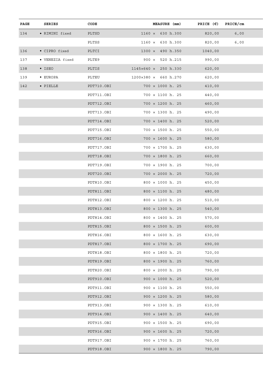| PAGE | SERIES           | CODE       | MEASURE (mm)            | PRICE $(\epsilon)$ PRICE/cm |      |
|------|------------------|------------|-------------------------|-----------------------------|------|
| 134  | • RIMINI fixed   | PLTSD      | $1160 \times 630 h.300$ | 820,00                      | 6,00 |
|      |                  | PLTSS      | $1160 \times 630 h.300$ | 820,00                      | 6,00 |
| 136  | • CIPRO fixed    | PLTCI      | $1300 \times 490 h.350$ | 1040,00                     |      |
| 137  | • VENEZIA fixed  | PLTE9      | $900 \times 520$ h.215  | 990,00                      |      |
| 138  | $\bullet$ ISEO   | PLTIS      | 1145×640 × 250 h.330    | 620,00                      |      |
| 139  | $\bullet$ EUROPA | PLTEU      | 1200×380 × 660 h.270    | 620,00                      |      |
| 142  | $\bullet$ PIELLE | PDT710.OBI | $700 \times 1000$ h. 25 | 410,00                      |      |
|      |                  | PDT711.OBI | 700 x 1100 h. 25        | 440,00                      |      |
|      |                  | PDT712.OBI | $700 \times 1200$ h. 25 | 460,00                      |      |
|      |                  | PDT713.OBI | 700 x 1300 h. 25        | 490,00                      |      |
|      |                  | PDT714.OBI | $700 \times 1400$ h. 25 | 520,00                      |      |
|      |                  | PDT715.OBI | $700 \times 1500$ h. 25 | 550,00                      |      |
|      |                  | PDT716.OBI | $700 \times 1600$ h. 25 | 580,00                      |      |
|      |                  | PDT717.OBI | 700 × 1700 h. 25        | 630,00                      |      |
|      |                  | PDT718.OBI | $700 \times 1800$ h. 25 | 660,00                      |      |
|      |                  | PDT719.OBI | 700 × 1900 h. 25        | 700,00                      |      |
|      |                  | PDT720.OBI | 700 × 2000 h. 25        | 720,00                      |      |
|      |                  | PDT810.OBI | 800 × 1000 h. 25        | 450,00                      |      |
|      |                  | PDT811.OBI | $800 \times 1100$ h. 25 | 480,00                      |      |
|      |                  | PDT812.OBI | 800 x 1200 h. 25        | 510,00                      |      |
|      |                  | PDT813.OBI | $800 \times 1300$ h. 25 | 540,00                      |      |
|      |                  | PDT814.OBI | $800 \times 1400$ h. 25 | 570,00                      |      |
|      |                  | PDT815.OBI | 800 x 1500 h. 25        | 600,00                      |      |
|      |                  | PDT816.OBI | $800 \times 1600$ h. 25 | 630,00                      |      |
|      |                  | PDT817.OBI | $800 \times 1700$ h. 25 | 690,00                      |      |
|      |                  | PDT818.OBI | $800 \times 1800$ h. 25 | 720,00                      |      |
|      |                  | PDT819.OBI | $800 \times 1900$ h. 25 | 760,00                      |      |
|      |                  | PDT820.OBI | 800 × 2000 h. 25        | 790,00                      |      |
|      |                  | PDT910.OBI | $900 \times 1000$ h. 25 | 520,00                      |      |
|      |                  | PDT911.OBI | $900 \times 1100$ h. 25 | 550,00                      |      |
|      |                  | PDT912.OBI | $900 \times 1200$ h. 25 | 580,00                      |      |
|      |                  | PDT913.OBI | $900 \times 1300$ h. 25 | 610,00                      |      |
|      |                  | PDT914.OBI | $900 \times 1400$ h. 25 | 640,00                      |      |
|      |                  | PDT915.OBI | $900 \times 1500$ h. 25 | 690,00                      |      |
|      |                  | PDT916.OBI | $900 \times 1600$ h. 25 | 720,00                      |      |
|      |                  | PDT917.OBI | $900 \times 1700$ h. 25 | 760,00                      |      |
|      |                  | PDT918.OBI | $900 \times 1800$ h. 25 | 790,00                      |      |
|      |                  |            |                         |                             |      |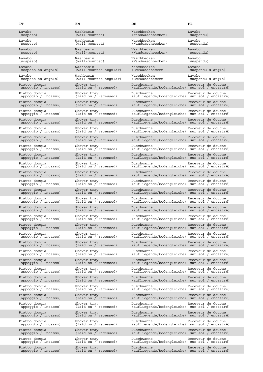| IT                                    | EN                                   | DE                                                                               | FR                           |
|---------------------------------------|--------------------------------------|----------------------------------------------------------------------------------|------------------------------|
| Lavabo<br>(sospeso)                   | Washbasin<br>$(wall-mounted)$        | Waschbecken<br>(Wandwaschbecken)                                                 | Lavabo<br>(suspendu)         |
| Lavabo<br>(sospeso)                   | Washbasin<br>$(wall-modoted)$        | Waschbecken<br>(Wandwaschbecken)                                                 | Lavabo<br>(suspendu)         |
| Lavabo<br>(sospeso)                   | Washbasin<br>$(wall-moduted)$        | Waschbecken<br>(Wandwaschbecken)                                                 | Lavabo<br>(suspendu)         |
| Lavabo<br>(sospeso)                   | Washbasin<br>(wall-mounted)          | Waschbecken<br>(Wandwaschbecken)                                                 | Lavabo<br>(suspendu)         |
| Lavabo<br>(sospeso ad angolo)         | Washbasin<br>(wall-mounted angular)  | Waschbecken<br>(Eckwaschbecken)                                                  | Lavabo<br>(suspendu d'angle) |
| Lavabo<br>(sospeso ad angolo)         | Washbasin<br>(wall-mounted angular)  | Waschbecken<br>(Eckwaschbecken)                                                  | Lavabo<br>(suspendu d'angle) |
| Piatto doccia<br>(appoggio / incasso) | Shower tray<br>(laid on / recessed)  | Duschwanne<br>(aufliegende/bodengleiche) (sur sol / encastré)                    | Receveur de douche           |
| Piatto doccia<br>(appoggio / incasso) | Shower tray<br>(laid on / recessed)  | Duschwanne<br>(aufliegende/bodengleiche) (sur sol / encastré)                    | Receveur de douche           |
| Piatto doccia<br>(appoggio / incasso) | Shower tray<br>(laid on / recessed)  | Duschwanne<br>(aufliegende/bodengleiche) (sur sol / encastré)                    | Receveur de douche           |
| Piatto doccia<br>(appoggio / incasso) | Shower tray<br>(laid on / recessed)  | Duschwanne<br>(aufliegende/bodengleiche) (sur sol / encastré)                    | Receveur de douche           |
| Piatto doccia<br>(appoggio / incasso) | Shower tray<br>(laid on / recessed)  | Duschwanne<br>(aufliegende/bodengleiche) (sur sol / encastré)                    | Receveur de douche           |
| Piatto doccia<br>(appoggio / incasso) | Shower tray<br>(laid on / recessed)  | Duschwanne<br>(aufliegende/bodengleiche) (sur sol / encastré)                    | Receveur de douche           |
| Piatto doccia<br>(appoggio / incasso) | Shower tray<br>(laid on / recessed)  | Duschwanne<br>(aufliegende/bodengleiche) (sur sol / encastré)                    | Receveur de douche           |
| Piatto doccia<br>(appoggio / incasso) | Shower tray<br>(laid on / recessed)  | Duschwanne<br>(aufliegende/bodengleiche) (sur sol / encastré)                    | Receveur de douche           |
| Piatto doccia<br>(appoggio / incasso) | Shower tray<br>(laid on / recessed)  | Duschwanne<br>(aufliegende/bodengleiche) (sur sol / encastré)                    | Receveur de douche           |
| Piatto doccia<br>(appoggio / incasso) | Shower tray<br>(laid on / recessed)  | Duschwanne<br>(aufliegende/bodengleiche) (sur sol / encastré)                    | Receveur de douche           |
| Piatto doccia<br>(appoggio / incasso) | Shower tray<br>(laid on / recessed)  | Duschwanne<br>(aufliegende/bodengleiche) (sur sol / encastré)                    | Receveur de douche           |
| Piatto doccia<br>(appoggio / incasso) | Shower tray<br>(laid on / recessed)  | Duschwanne<br>(aufliegende/bodengleiche) (sur sol / encastré)                    | Receveur de douche           |
| Piatto doccia<br>(appoggio / incasso) | Shower tray<br>(laid on / recessed)  | Duschwanne<br>(aufliegende/bodengleiche) (sur sol / encastré)                    | Receveur de douche           |
| Piatto doccia<br>(appoggio / incasso) | Shower tray<br>(laid on / recessed)  | Duschwanne<br>(aufliegende/bodengleiche) (sur sol / encastré)                    | Receveur de douche           |
| Piatto doccia<br>(appoggio / incasso) | Shower tray<br>(laid on / recessed)  | Duschwanne<br>(aufliegende/bodengleiche) (sur sol / encastré)                    | Receveur de douche           |
| Piatto doccia<br>(appoggio / incasso) | Shower tray<br>(laid on / recessed)  | Duschwanne<br>(aufliegende/bodengleiche) (sur sol / encastré)                    | Receveur de douche           |
| Piatto doccia<br>(appoggio / incasso) | Shower tray<br>(laid on / recessed)  | Duschwanne<br>(aufliegende/bodengleiche) (sur sol / encastré)                    | Receveur de douche           |
| Piatto doccia<br>(appoggio / incasso) | Shower tray<br>(laid on / recessed)  | Duschwanne Receveur de douche<br>(aufliegende/bodengleiche) (sur sol / encastré) |                              |
| Piatto doccia<br>(appoggio / incasso) | Shower tray<br>(laid on / recessed)  | Duschwanne Receveur de douche<br>(aufliegende/bodengleiche) (sur sol / encastré) |                              |
| Piatto doccia<br>(appoggio / incasso) | Shower tray<br>(laid on / recessed)  | Duschwanne<br>(aufliegende/bodengleiche) (sur sol / encastré)                    | Receveur de douche           |
| Piatto doccia<br>(appoggio / incasso) | Shower tray<br>(laid on / recessed)  | Duschwanne<br>(aufliegende/bodengleiche) (sur sol / encastré)                    | Receveur de douche           |
| Piatto doccia<br>(appoggio / incasso) | Shower tray<br>(laid on / recessed)  | Duschwanne<br>(aufliegende/bodengleiche) (sur sol / encastré)                    | Receveur de douche           |
| Piatto doccia<br>(appoggio / incasso) | Shower tray<br>(laid on / recessed)  | Duschwanne<br>(aufliegende/bodengleiche) (sur sol / encastré)                    | Receveur de douche           |
| Piatto doccia<br>(appoggio / incasso) | Shower tray<br>(laid on / recessed)  | Duschwanne<br>(aufliegende/bodengleiche) (sur sol / encastré)                    | Receveur de douche           |
| Piatto doccia<br>(appoggio / incasso) | Shower tray<br>(laid on / recessed)  | Duschwanne<br>(aufliegende/bodengleiche) (sur sol / encastré)                    | Receveur de douche           |
| Piatto doccia<br>(appoggio / incasso) | Shower tray<br>(laid on / recessed)  | Duschwanne<br>(aufliegende/bodengleiche) (sur sol / encastré)                    | Receveur de douche           |
| Piatto doccia<br>(appoggio / incasso) | Shower tray<br>(laid on / recessed)  | Duschwanne<br>(aufliegende/bodengleiche) (sur sol / encastré)                    | Receveur de douche           |
| Piatto doccia<br>(appoggio / incasso) | Shower tray<br>(laid on / recessed)  | Duschwanne<br>(aufliegende/bodengleiche) (sur sol / encastré)                    | Receveur de douche           |
| Piatto doccia<br>(appoggio / incasso) | Shower tray<br>(laid on / 'recessed) | Duschwanne<br>(aufliegende/bodengleiche) (sur sol / encastré)                    | Receveur de douche           |
| Piatto doccia<br>(appoggio / incasso) | Shower tray<br>(laid on / recessed)  | Duschwanne Receveur de douche<br>(aufliegende/bodengleiche) (sur sol / encastré) |                              |
| Piatto doccia<br>(appoggio / incasso) | Shower tray<br>(laid on / 'recessed) | Duschwanne<br>(aufliegende/bodengleiche) (sur sol / encastré)                    | Receveur de douche           |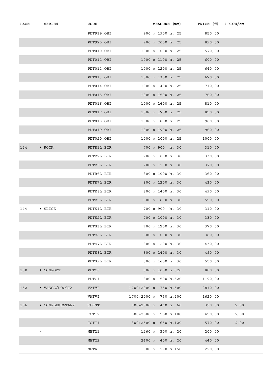| PAGE | SERIES            | CODE       | MEASURE (mm)                              | PRICE $(\epsilon)$ PRICE/cm |      |
|------|-------------------|------------|-------------------------------------------|-----------------------------|------|
|      |                   | PDT919.OBI | $900 \times 1900$ h. 25                   | 850,00                      |      |
|      |                   | PDT920.OBI | $900 \times 2000$ h. 25                   | 890,00                      |      |
|      |                   | PDT010.OBI | $1000 \times 1000$ h. 25                  | 570,00                      |      |
|      |                   | PDT011.OBI | $1000 \times 1100$ h. 25                  | 600,00                      |      |
|      |                   | PDT012.OBI | $1000 \times 1200$ h. 25                  | 640,00                      |      |
|      |                   | PDT013.OBI | $1000 \times 1300$ h. 25                  | 670,00                      |      |
|      |                   | PDT014.OBI | $1000 \times 1400$ h. 25                  | 710,00                      |      |
|      |                   | PDT015.OBI | $1000 \times 1500$ h. 25                  | 760,00                      |      |
|      |                   | PDT016.OBI | $1000 \times 1600$ h. 25                  | 810,00                      |      |
|      |                   | PDT017.OBI | $1000 \times 1700$ h. 25                  | 850,00                      |      |
|      |                   | PDT018.OBI | $1000 \times 1800$ h. 25                  | 900,00                      |      |
|      |                   | PDT019.OBI | $1000 \times 1900$ h. 25                  | 960,00                      |      |
|      |                   | PDT020.OBI | $1000 \times 2000$ h. 25                  | 1000,00                     |      |
| 144  | $\bullet$ ROCK    | PDTR1L.BIR | $700 \times 900$ h. 30                    | 310,00                      |      |
|      |                   | PDTR2L.BIR | 700 × 1000 h. 30                          | 330,00                      |      |
|      |                   | PDTR3L.BIR | $700 \times 1200$ h. 30                   | 370,00                      |      |
|      |                   | PDTR6L.BIR | $800 \times 1000$ h. 30                   | 360,00                      |      |
|      |                   | PDTR7L.BIR | $800 \times 1200$ h. 30                   | 430,00                      |      |
|      |                   | PDTR8L.BIR | $800 \times 1400$ h. 30                   | 490,00                      |      |
|      |                   | PDTR9L.BIR | $800 \times 1600$ h. 30                   | 550,00                      |      |
| 144  | $\bullet$ SLICE   | PDTS1L.BIR | 700 × 900 h. 30                           | 310,00                      |      |
|      |                   | PDTS2L.BIR | $700 \times 1000$ h. 30                   | 330,00                      |      |
|      |                   | PDTS3L.BIR | $700 \times 1200$ h. 30                   | 370,00                      |      |
|      |                   | PDTS6L.BIR | $800 \times 1000$ h. 30                   | 360,00                      |      |
|      |                   | PDTS7L.BIR | 800 x 1200 h. 30                          | 430,00                      |      |
|      |                   | PDTS8L.BIR | $800 \times 1400$ h. 30                   | 490,00                      |      |
|      |                   | PDTS9L.BIR | $800 \times 1600$ h. 30                   | 550,00                      |      |
| 150  | $\bullet$ COMFORT | PDTC0      | 800 × 1000 h.520                          | 880,00                      |      |
|      |                   | PDTC1      | 800 x 1500 h.520                          | 1190,00                     |      |
| 152  | • VASCA/DOCCIA    | VATVF      | 1700÷2000 × 750 h.500                     | 2810,00                     |      |
|      |                   | VATVI      | $1700 \div 2000 \times 750 h.400$         | 1620,00                     |      |
| 156  | • COMPLEMENTARY   | TOTT0      | $800 \div 2000 \times 460 \text{ h. } 60$ | 390,00                      | 6,00 |
|      |                   | TOTT2      | 800÷2500 $\times$ 550 h.100               | 450,00                      | 6,00 |
|      |                   | TOTT1      | $800 \div 2500 \times 650 h.120$          | 570,00                      | 6,00 |
|      |                   | MET21      | $1260 \times 300$ h. 20                   | 200,00                      |      |
|      |                   | MET22      | $2400 \times 400$ h. 20                   | 440,00                      |      |
|      |                   | META0      | 800 × 270 h.150                           | 220,00                      |      |
|      |                   |            |                                           |                             |      |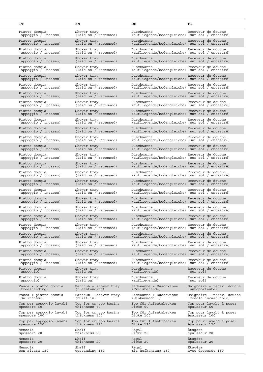| IT                                      | EN                                      | DE                                                            | FR                                                |
|-----------------------------------------|-----------------------------------------|---------------------------------------------------------------|---------------------------------------------------|
| Piatto doccia<br>(appoggio / incasso)   | Shower tray<br>(laid on / recessed)     | Duschwanne<br>(aufliegende/bodengleiche) (sur sol / encastré) | Receveur de douche                                |
| Piatto doccia<br>(appoggio / incasso)   | Shower tray<br>(laid on / recessed)     | Duschwanne<br>(aufliegende/bodengleiche) (sur sol / encastré) | Receveur de douche                                |
| Piatto doccia<br>(appoggio / incasso)   | Shower tray<br>(laid on / recessed)     | Duschwanne<br>(aufliegende/bodengleiche) (sur sol / encastré) | Receveur de douche                                |
| Piatto doccia<br>(appoggio / incasso)   | Shower tray<br>(laid on / recessed)     | Duschwanne<br>(aufliegende/bodengleiche) (sur sol / encastré) | Receveur de douche                                |
| Piatto doccia<br>(appoggio / incasso)   | Shower tray<br>(laid on / recessed)     | Duschwanne<br>(aufliegende/bodengleiche) (sur sol / encastré) | Receveur de douche                                |
| Piatto doccia<br>(appoggio / incasso)   | Shower tray<br>(laid on / recessed)     | Duschwanne<br>(aufliegende/bodengleiche) (sur sol / encastré) | Receveur de douche                                |
| Piatto doccia<br>(appoggio / incasso)   | Shower tray<br>(laid on / recessed)     | Duschwanne<br>(aufliegende/bodengleiche) (sur sol / encastré) | Receveur de douche                                |
| Piatto doccia<br>(appoggio / incasso)   | Shower tray<br>(laid on / recessed)     | Duschwanne<br>(aufliegende/bodengleiche) (sur sol / encastré) | Receveur de douche                                |
| Piatto doccia<br>(appoggio / incasso)   | Shower tray<br>(laid on / recessed)     | Duschwanne<br>(aufliegende/bodengleiche) (sur sol / encastré) | Receveur de douche                                |
| Piatto doccia<br>(appoggio / incasso)   | Shower tray<br>(laid on / recessed)     | Duschwanne<br>(aufliegende/bodengleiche) (sur sol / encastré) | Receveur de douche                                |
| Piatto doccia<br>(appoggio / incasso)   | Shower tray<br>(laid on / recessed)     | Duschwanne<br>(aufliegende/bodengleiche) (sur sol / encastré) | Receveur de douche                                |
| Piatto doccia<br>(appoggio / incasso)   | Shower tray<br>(laid on / recessed)     | Duschwanne<br>(aufliegende/bodengleiche) (sur sol / encastré) | Receveur de douche                                |
| Piatto doccia<br>(appoggio / incasso)   | Shower tray<br>(laid on / recessed)     | Duschwanne<br>(aufliegende/bodengleiche) (sur sol / encastré) | Receveur de douche                                |
| Piatto doccia<br>(appoggio / incasso)   | Shower tray<br>(laid on / recessed)     | Duschwanne<br>(aufliegende/bodengleiche) (sur sol / encastré) | Receveur de douche                                |
| Piatto doccia<br>(appoggio / incasso)   | Shower tray<br>(laid on / recessed)     | Duschwanne<br>(aufliegende/bodengleiche) (sur sol / encastré) | Receveur de douche                                |
| Piatto doccia<br>(appoggio / incasso)   | Shower tray<br>(laid on / recessed)     | Duschwanne<br>(aufliegende/bodengleiche) (sur sol / encastré) | Receveur de douche                                |
| Piatto doccia<br>(appoggio / incasso)   | Shower tray<br>(laid on / recessed)     | Duschwanne<br>(aufliegende/bodengleiche) (sur sol / encastré) | Receveur de douche                                |
| Piatto doccia<br>(appoggio / incasso)   | Shower tray<br>(laid on / recessed)     | Duschwanne<br>(aufliegende/bodengleiche) (sur sol / encastré) | Receveur de douche                                |
| Piatto doccia<br>(appoggio / incasso)   | Shower tray<br>(laid on / recessed)     | Duschwanne<br>(aufliegende/bodengleiche) (sur sol / encastré) | Receveur de douche                                |
| Piatto doccia<br>(appoggio / incasso)   | Shower tray<br>(laid on / recessed)     | Duschwanne<br>(aufliegende/bodengleiche) (sur sol / encastré) | Receveur de douche                                |
| Piatto doccia<br>(appoggio / incasso)   | Shower tray<br>(laid on / recessed)     | Duschwanne<br>(aufliegende/bodengleiche) (sur sol / encastré) | Receveur de douche                                |
| Piatto doccia<br>(appoggio / incasso)   | Shower tray<br>(laid on / recessed)     | Duschwanne<br>(aufliegende/bodengleiche) (sur sol / encastré) | Receveur de douche                                |
| Piatto doccia<br>(appoggio / incasso)   | Shower tray<br>(laid on / recessed)     | Duschwanne<br>(aufliegende/bodengleiche) (sur sol / encastré) | Receveur de douche                                |
| Piatto doccia<br>(appoggio / incasso)   | Shower tray<br>(laid on / recessed)     | Duschwanne<br>(aufliegende/bodengleiche) (sur sol / encastré) | Receveur de douche                                |
| Piatto doccia<br>(appoggio / incasso)   | Shower tray<br>(laid on / recessed)     | Duschwanne<br>(aufliegende/bodengleiche) (sur sol / encastré) | Receveur de douche                                |
| Piatto doccia<br>(appoggio / incasso)   | Shower tray<br>(laid on / recessed)     | Duschwanne<br>(aufliegende/bodengleiche) (sur sol / encastré) | Receveur de douche                                |
| Piatto doccia<br>(appoggio / incasso)   | Shower tray<br>(laid on / recessed)     | Duschwanne<br>(aufliegende/bodengleiche) (sur sol / encastré) | Receveur de douche                                |
| Piatto doccia<br>(appoggio)             | Shower tray<br>(laid on)                | Duschwanne<br>(aufliegende)                                   | Receveur de douche<br>(sur sol)                   |
| Piatto doccia<br>(appoggio)             | Shower tray<br>(laid on)                | Duschwanne<br>(aufliegende)                                   | Receveur de douche<br>(sur sol)                   |
| Vasca + piatto doccia<br>(freestanding) | Bathtub + shower tray<br>(freestanding) | Badewanne + Duschwanne<br>(Freistehende)                      | Baignoire + recev. douche<br>(autoportante)       |
| Vasca + piatto doccia<br>(da incasso)   | Bathtub + shower tray<br>$(built-in)$   | Badewanne + Duschwanne<br>(Einbaumodell)                      | Baignoire + recev. douche<br>(modèle encastrable) |
| Top per appoggio lavabi<br>spessore 60  | Top for on top basins<br>thickness 60   | Top für Aufsatzbecken<br>Dicke 60                             | Top pour lavabo à poser<br>épaisseur 60           |
| Top per appoggio lavabi<br>spessore 100 | Top for on top basins<br>thickness 100  | Top für Aufsatzbecken<br>Dicke 100                            | Top pour lavabo à poser<br>épaisseur 100          |
| Top per appoggio lavabi<br>spessore 120 | Top for on top basins<br>thickness 120  | Top für Aufsatzbecken<br>Dicke 120                            | Top pour lavabo à poser<br>épaisseur 120          |
| Mensola<br>spessore 20                  | Shelf<br>thickness 20                   | Regal<br>Dicke 20                                             | Étaqère<br>épaisseur 20                           |
| Mensola<br>spessore 20                  | Shelf<br>thickness 20                   | Regal<br>Dicke 20                                             | Étagère<br>épaisseur 20                           |
| Mensola<br>con alzata 150               | Shelf<br>upstanding 150                 | Regal<br>mit Aufkantung 150                                   | Étaqère<br>avec dosseret 150                      |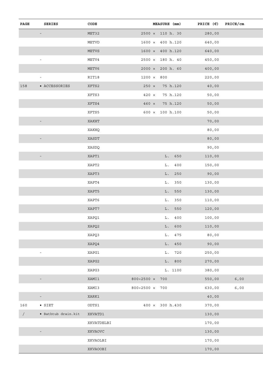| MET32<br>$2500 \times 110 h. 30$<br>280,00<br>-<br>METVD<br>$1600 \times 400 h.120$<br>640,00<br>METVS<br>$1600 \times 400 h.120$<br>640,00<br>METV4<br>$2500 \times 180$ h. 40<br>450,00<br>$\overline{\phantom{a}}$<br>METV6<br>$2000 \times 200$ h. 60<br>400,00<br>RIT18<br>$1200 \times 800$<br>220,00<br>$\overline{\phantom{a}}$<br>• ACCESSORIES<br>XFTS2<br>$250 \times 75 h.120$<br>40,00<br>XFTS3<br>$420 \times 75 h.120$<br>50,00<br>XFTS4<br>$460 \times 75 h.120$<br>50,00<br>XFTS5<br>$600 \times 100 h.100$<br>50,00<br>XAKHT<br>70,00<br>$\overline{\phantom{a}}$<br>XAKHQ<br>80,00<br>XASDT<br>80,00<br>$\overline{\phantom{a}}$<br>XASDQ<br>90,00<br>L. 650<br>XAPT1<br>110,00<br>$\equiv$ |
|----------------------------------------------------------------------------------------------------------------------------------------------------------------------------------------------------------------------------------------------------------------------------------------------------------------------------------------------------------------------------------------------------------------------------------------------------------------------------------------------------------------------------------------------------------------------------------------------------------------------------------------------------------------------------------------------------------------|
| 158                                                                                                                                                                                                                                                                                                                                                                                                                                                                                                                                                                                                                                                                                                            |
|                                                                                                                                                                                                                                                                                                                                                                                                                                                                                                                                                                                                                                                                                                                |
|                                                                                                                                                                                                                                                                                                                                                                                                                                                                                                                                                                                                                                                                                                                |
|                                                                                                                                                                                                                                                                                                                                                                                                                                                                                                                                                                                                                                                                                                                |
|                                                                                                                                                                                                                                                                                                                                                                                                                                                                                                                                                                                                                                                                                                                |
|                                                                                                                                                                                                                                                                                                                                                                                                                                                                                                                                                                                                                                                                                                                |
|                                                                                                                                                                                                                                                                                                                                                                                                                                                                                                                                                                                                                                                                                                                |
|                                                                                                                                                                                                                                                                                                                                                                                                                                                                                                                                                                                                                                                                                                                |
|                                                                                                                                                                                                                                                                                                                                                                                                                                                                                                                                                                                                                                                                                                                |
|                                                                                                                                                                                                                                                                                                                                                                                                                                                                                                                                                                                                                                                                                                                |
|                                                                                                                                                                                                                                                                                                                                                                                                                                                                                                                                                                                                                                                                                                                |
|                                                                                                                                                                                                                                                                                                                                                                                                                                                                                                                                                                                                                                                                                                                |
|                                                                                                                                                                                                                                                                                                                                                                                                                                                                                                                                                                                                                                                                                                                |
|                                                                                                                                                                                                                                                                                                                                                                                                                                                                                                                                                                                                                                                                                                                |
|                                                                                                                                                                                                                                                                                                                                                                                                                                                                                                                                                                                                                                                                                                                |
| XAPT2<br>L. 400<br>150,00                                                                                                                                                                                                                                                                                                                                                                                                                                                                                                                                                                                                                                                                                      |
| XAPT3<br>L. 250<br>90,00                                                                                                                                                                                                                                                                                                                                                                                                                                                                                                                                                                                                                                                                                       |
| XAPT4<br>L. 350<br>130,00                                                                                                                                                                                                                                                                                                                                                                                                                                                                                                                                                                                                                                                                                      |
| XAPT5<br>L. 550<br>130,00                                                                                                                                                                                                                                                                                                                                                                                                                                                                                                                                                                                                                                                                                      |
| XAPT6<br>L. 350<br>110,00                                                                                                                                                                                                                                                                                                                                                                                                                                                                                                                                                                                                                                                                                      |
| XAPT7<br>$L.$ 550<br>120,00                                                                                                                                                                                                                                                                                                                                                                                                                                                                                                                                                                                                                                                                                    |
| XAPQ1<br>$L. 400$<br>100,00                                                                                                                                                                                                                                                                                                                                                                                                                                                                                                                                                                                                                                                                                    |
| XAPQ2<br>L. 600<br>110,00                                                                                                                                                                                                                                                                                                                                                                                                                                                                                                                                                                                                                                                                                      |
| L. 475<br>XAPQ3<br>80,00                                                                                                                                                                                                                                                                                                                                                                                                                                                                                                                                                                                                                                                                                       |
| XAPQ4<br>L. 450<br>90,00                                                                                                                                                                                                                                                                                                                                                                                                                                                                                                                                                                                                                                                                                       |
| XAPG1<br>L. 720<br>250,00<br>$\sim$                                                                                                                                                                                                                                                                                                                                                                                                                                                                                                                                                                                                                                                                            |
| XAPG2<br>L. 800<br>270,00                                                                                                                                                                                                                                                                                                                                                                                                                                                                                                                                                                                                                                                                                      |
| XAPG3<br>L. 1100<br>380,00                                                                                                                                                                                                                                                                                                                                                                                                                                                                                                                                                                                                                                                                                     |
| $800 \div 2500 \times 700$<br>$6,00$<br>XAMI1<br>550,00<br>$ \,$                                                                                                                                                                                                                                                                                                                                                                                                                                                                                                                                                                                                                                               |
| XAMI3<br>800÷2500 × 700<br>630,00<br>6,00                                                                                                                                                                                                                                                                                                                                                                                                                                                                                                                                                                                                                                                                      |
| XARK1<br>40,00<br>$\sim$                                                                                                                                                                                                                                                                                                                                                                                                                                                                                                                                                                                                                                                                                       |
| $\bullet$ SIET<br>ODTS1<br>$400 \times 300 h.430$<br>160<br>370,00                                                                                                                                                                                                                                                                                                                                                                                                                                                                                                                                                                                                                                             |
| $\sqrt{2}$<br>· Bathtub drain.kit<br>XKVATD1<br>130,00                                                                                                                                                                                                                                                                                                                                                                                                                                                                                                                                                                                                                                                         |
| 170,00<br>XKVATDELBI                                                                                                                                                                                                                                                                                                                                                                                                                                                                                                                                                                                                                                                                                           |
| XKVAOVC<br>130,00<br>$\overline{\phantom{a}}$                                                                                                                                                                                                                                                                                                                                                                                                                                                                                                                                                                                                                                                                  |
| XKVAOLBI<br>170,00                                                                                                                                                                                                                                                                                                                                                                                                                                                                                                                                                                                                                                                                                             |
| 170,00<br>XKVAOOBI                                                                                                                                                                                                                                                                                                                                                                                                                                                                                                                                                                                                                                                                                             |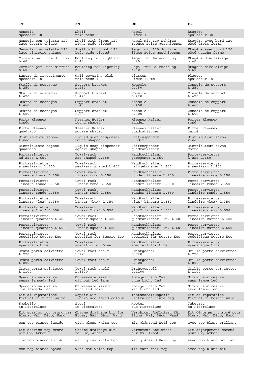| IT                                       | EN                                 | DE                                                               | FR                                  |
|------------------------------------------|------------------------------------|------------------------------------------------------------------|-------------------------------------|
| Mensola                                  | Shelf                              | Regal                                                            | Étaqère                             |
| spessore 30                              | thickness 30                       | Dicke 30                                                         | épaisseur 30                        |
| Mensola con veletta 120                  | Shelf with front 120               | Regal mit 120 Schürze                                            | Étagère avec bord 120               |
| lato destro chiuso                       | right side closed                  | rechte Seite geschlossen                                         | côté droit fermé                    |
| Mensola con veletta 120                  | Shelf with front 120               | Regal mit 120 Schürze                                            | Étagère avec bord 120               |
| lato sinistro chiuso                     | left side closed                   | linke Seite geschlossen                                          | côté gauche fermé                   |
| Cornice per luce diffusa                 | Moulding for lighting              | Regal für Beleuchtung                                            | Étaqère d'éclairaqe                 |
| h.40                                     | h.40                               | h.40                                                             | h.40                                |
| Cornice per luce diffusa                 | Moulding for lighting              | Regal für Beleuchtung                                            | Étagère d'éclairage                 |
| h.60                                     | h.60                               | h.60                                                             | h.60                                |
| Lastre di rivestimento                   | Wall-covering slab                 | Platten                                                          | Plaques                             |
| spessore 10                              | thickness 10                       | Dicke 10 mm                                                      | épaísseur 10                        |
| Staffa di sostegno<br>L.250              | Support bracket<br>L.250           | Konsole<br>L.250                                                 | Console de support<br>L.250         |
| Staffa di sostegno<br>L.420              | Support bracket<br>L.420           | Konsole<br>L.420                                                 | Console de support<br>L.420         |
| Staffa di sostegno<br>L.460              | Support bracket<br>L.460           | Konsole<br>L.460                                                 | Console de support<br>L.460         |
| Staffa di sostegno<br>L.600              | Support bracket<br>L.600           | Konsole<br>L.600                                                 | Console de support<br>L.600         |
| Porta Kleenex                            | Kleenex Holder                     | Kleenex Halter                                                   | Porter Kleenex                      |
| tondo                                    | round shaped                       | runder                                                           | rond                                |
| Porta Kleenex                            | Kleenex Holder                     | Kleenex Halter                                                   | Porter Kleenex                      |
| quadrato                                 | square shaped                      | quadratischer                                                    | carré                               |
| Distributore sapone                      | Liquid-soap dispenser              | Seifenspender                                                    | Distributeur savon                  |
| tondo                                    | round shaped                       | runder                                                           | rond                                |
| Distributore sapone                      | Liquid-soap dispenser              | Seifenspender                                                    | Distributeur savon                  |
| quadrato                                 | square shaped                      | quadratischer                                                    | carré                               |
| Portasalviette                           | Towel-rack                         | Handtuchhalter                                                   | Porte-serviette                     |
| ad arco L.650                            | arc shaped L.650                   | gebogener L.650                                                  | à arc L.650                         |
| Portasalviette                           | Towel-rack                         | Handtuchhalter                                                   | Porte-serviette                     |
| a semi-arco L.400                        | semi-arc shaped L.400              | halbgebogener L.400                                              | à semi-arc L.400                    |
| Portasalviette                           | Towel-rack                         | Handtuchhalter                                                   | Porte-serviette                     |
| lineare tondo L.250                      | linear rond L.250                  | runder lineare L.250                                             | linéaire ronde L.250                |
| Portasalviette                           | Towel-rack                         | Handtuchhalter                                                   | Porte-serviette                     |
| lineare tondo L.350                      | linear rond L.350                  | runder lineare L.350                                             | linéaire ronde L.350                |
| Portasalviette                           | Towel-rack                         | Handtuchhalter                                                   | Porte-serviette                     |
| lineare tondo L.550                      | linear rond L.550                  | runder lineare L.550                                             | linéaire ronde L.550                |
| Portasalviette                           | Towel-rack                         | Handtuchhalter                                                   | Porte-serviette                     |
| lineare "lux" L.350                      | linear "lux" L.350                 | "lux" lineare L.350                                              | linéaire «lux» L.350                |
| Portasalviette                           | Towel-rack                         | Handtuchhalter                                                   | Porte-serviette                     |
| lineare "lux" L.550                      | linear "lux" L.550                 | "lux" lineare L.550                                              | linéaire «lux» L.550                |
| Portasalviette<br>lineare quadrato L.400 | Towel-rack<br>linear square L.400  | Handtuchhalter<br>quadratischer lin. L.400 linéaire carrée L.400 | Porte-serviette                     |
| Portasalviette<br>lineare quadrato L.600 | Towel-rack<br>linear square L.600  | Handtuchhalter<br>quadratischer lin. L.600 linéaire carrée L.600 | Porte-serviette                     |
| Portasalviette                           | Towel-rack                         | Handtuchhalter                                                   | Porte-serviette                     |
| specifico Square Eco                     | specific for Square Eco            | speziell für Square Eco                                          | spécifique Square Eco               |
| Portasalviette                           | Towel-rack                         | Handtuchhalter                                                   | Porte-serviette                     |
| specifico Line                           | specific for Line                  | speziell für Line                                                | spécifique Line                     |
| Grata porta-salviette                    | Towel-rack shelf                   | Drahtgestell                                                     | Grille porte-serviettes             |
| L.720                                    | L.720                              | L.720                                                            | L.720                               |
| Grata porta-salviette                    | Towel-rack shelf                   | Drahtgestell                                                     | Grille porte-serviettes             |
| L.800                                    | L.800                              | L.800                                                            | L.800                               |
| Grata porta-salviette                    | Towel-rack shelf                   | Drahtgestell                                                     | Grille porte-serviettes             |
| L.1100                                   | L.1100                             | L.1100                                                           | L.1100                              |
| Specchio su misura                       | On measure mirror                  | Spiegel nach Maß                                                 | Miroir sur mesure                   |
| senza lampada led                        | without led lamp                   | ohne Licht led                                                   | sans lampe led                      |
| Specchio su misura<br>con lampada led    | On measure mirror<br>with led lamp | Spiegel nach Maß<br>mit Licht led                                | Miroir sur mesure<br>avec lampe led |
| Kit di riparazione                       | Repair Kit                         | Instandhaltungskit                                               | Kit de réparation                   |
| Pietraluce tinta unita                   | Pietraluce solid colour            | Pietraluce einfarbig                                             | Pietraluce teinte unie              |
| Sgabello                                 | Stool                              | Hocker                                                           | Tabouret                            |
| in Pietraluce                            | in Pietraluce                      | aus Pietraluce                                                   | en Pietraluce                       |
| Kit scarico top cromo per                | Chrome drainage kit for            | Verchromt Abflußset für                                          | Kit dégorgem. chromé pour           |
| Bluma, Wal, Déco, Wand                   | Bluma, Wal, Déco, Wand             | Bluma, Wal, Déco, Wand                                           | Bluma, Wal, Déco, Wand              |
| con top bianco lucido                    | with gloss white top               | mit glänzend Weiß top                                            | avec top blanc brillant             |
| Kit scarico top cromo                    | Chrome drainage kit                | Verchromt Abflußset                                              | Kit dégorgement chromé              |
| per Ov, Arbot                            | for Ov, Arbot                      | für Ov, Arbot                                                    | pour Ov, Arbot                      |
| con top bianco lucido                    | with gloss white top               | mit glänzend Weiß top                                            | avec top blanc brillant             |
| con top bianco opaco                     | with mat white top                 | mit matt Weiß top                                                |                                     |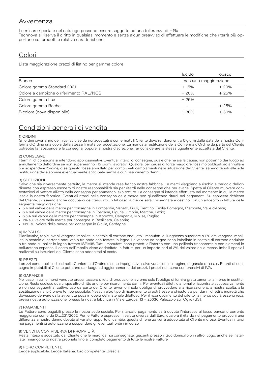# Avvertenza

Le misure riportate nel catalogo possono essere soggette ad una tolleranza di ±1% Technova si riserva il diritto in qualsiasi momento e senza alcun preavviso di effettuare le modifiche che riterrà più opportune sui prodotti e relative caratteristiche.

### Colori

Lista maggiorazione prezzi di listino per gamma colore

| lucido | opaco                 |
|--------|-----------------------|
|        | nessuna maggiorazione |
| $+15%$ | $+20%$                |
| $+20%$ | $+25%$                |
| $+25%$ |                       |
|        | $+25%$                |
| $+30%$ | $+30%$                |
|        |                       |

# Condizioni generali di vendita

### 1) ORDINI

Gli ordini diverranno definitivi solo se da noi accettati e confermati. Il Cliente deve renderci entro 5 giorni dalla data della nostra Conferma d'Ordine una copia della stessa firmata per accettazione. La mancata restituzione della Conferma d'Ordine da parte del Cliente potrebbe far sospendere la consegna, oppure, a nostra discrezione, far considerare la stessa ugualmente accettata dal Cliente.

### 2) CONSEGNE

I termini di consegna si intendono approssimativi. Eventuali ritardi di consegna, quale che ne sia la causa, non potranno dar luogo ad annullamento dell'ordine se non supereranno i 15 giorni lavorativi. Qualora, per causa di forza maggiore, fossimo obbligati ad annullare o a sospendere l'ordine, o se questo fosse annullato per comprovati cambiamenti nella situazione del Cliente, saremo tenuti alla sola restituzione delle somme eventualmente anticipate senza alcun risarcimento danni.

#### 3) SPEDIZIONI

Salvo che sia diversamente pattuito, la merce si intende resa franco nostra fabbrica. Le merci viaggiano a rischio e pericolo dell'ordinante con espresso esonero di nostre responsabilità sia per ritardi nelle consegne che per avarie. Spetta al Cliente muovere contestazioni al vettore all'atto della consegna per ammanchi e/o rotture. La consegna si intende effettuata nel momento in cui la merce lascia la nostra fabbrica. Eventuali ritardi nella consegna della merce non giustificano ritardi nei pagamenti. Su espressa richiesta del Cliente, possiamo anche occuparci del trasporto. In tal caso la merce sarà consegnata a destino con un addebito in fattura della seguente maggiorazione:

- 5% sul valore della merce per consegne in Lombardia, Veneto, Friuli, Trentino, Emilia Romagna, Piemonte, Valle d'Aosta;
- 6% sul valore della merce per consegne in Toscana, Liguria, Umbria, Marche, Lazio;
- 6,5% sul valore della merce per consegne in Abruzzo, Campania, Molise, Puglia;
- 7% sul valore della merce per consegne in Basilicata, Calabria;
- 10% sul valore della merce per consegne in Sicilia, Sardegna.

#### 4) IMBALLO

Pianilavabo, top e lavabi vengono imballati in scatole di cartone ondulato. I manufatti di lunghezza superiore a 170 cm vengono imballati in scatole di cartone ondulato a tre onde con testate in legno. Le vasche da bagno sono imballate in scatole di cartone ondulato a tre onde su pallet in legno trattato ISPM15. Tutti i manufatti sono protetti all'interno con una pellicola trasparente e con elementi in poliuretano espanso. Il costo dell'imballo viene addebitato in fattura per un importo pari al 2% del valore della merce. Imballi speciali realizzati su istruzioni del Cliente sono addebitati al costo.

#### 5) PREZZI

I prezzi sono quelli indicati nella Conferma d'Ordine e sono impegnativi, salvo variazioni nel regime doganale o fiscale. Ritardi di consegna imputabili al Cliente potranno dar luogo ad aggiornamento dei prezzi. I prezzi non sono comprensivi di IVA.

### 6) GARANZIE

Nel caso in cui le merci vendute presentassero difetti di produzione, avremo solo l'obbligo di fornire gratuitamente la merce in sostituzione. Resta escluso qualunque altro diritto anche per risarcimento danni. Per eventuali difetti o anomalie riscontrate successivamente e non conseguenti al cattivo uso da parte del Cliente, avremo il solo obbligo di provvedere alla riparazione o, a nostra scelta, alla sostituzione nel più breve tempo possibile. Nessun altro tipo di risarcimento ci potrà essere chiesto sia per danni diretti o indiretti che dovessero derivare dalla avvenuta posa in opera del materiale difettoso. Per il riconoscimento del difetto, la merce dovrà esserci resa, previa nostra autorizzazione, presso la nostra fabbrica in Viale Europa, 13 – 25036 Palazzolo sull'Oglio (BS).

#### 7) PAGAMENTI

Le Fatture sono pagabili presso la nostra sede sociale. Per ritardato pagamento sarà dovuto l'interesse al tasso bancario corrente maggiorato come da D.L.231/2002. Per le Fatture espresse in valuta diversa dall'Euro, qualora il ritardo nel pagamento provochi una differenza a nostro danno dovuta al variato rapporto di cambio, questa differenza verrà addebitata al Cliente moroso. Eventuali ritardi nei pagamenti ci autorizzano a sospendere gli eventuali ordini in corso.

### 8) VENDITA CON RISERVA DI PROPRIETÀ

Resta inteso e accettato dal Cliente che le merci da noi consegnate, giacenti presso il Suo domicilio o in altro luogo, anche se installate, rimangono di nostra proprietà fino al completo pagamento di tutte le nostre Fatture.

### 9) FORO COMPETENTE

Legge applicabile, Legge Italiana, foro competente, Brescia.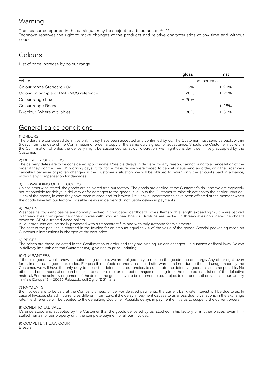# Warning

The measures reported in the catalogue may be subject to a tolerance of  $\pm$  1% Technova reserves the right to make changes at the products and relative characteristics at any time and without notice.

# **Colours**

List of price increase by colour range

| gloss       | mat                          |  |  |  |
|-------------|------------------------------|--|--|--|
| no increase |                              |  |  |  |
| $+15%$      | $+20%$                       |  |  |  |
| $+20%$      | $+25%$                       |  |  |  |
| $+25%$      | $\qquad \qquad \blacksquare$ |  |  |  |
|             | $+25%$                       |  |  |  |
| $+30%$      | $+30%$                       |  |  |  |
|             |                              |  |  |  |

# General sales conditions

### 1) ORDERS

The orders are considered definitive only if they have been accepted and confirmed by us. The Customer must send us back, within 5 days from the date of the Confirmation of order, a copy of the same duly signed for acceptance. Should the Customer not return the Confirmation of order, the delivery might be suspended or, at our discretion, we might consider it definitively accepted by the Customer.

### 2) DELIVERY OF GOODS

The delivery dates are to be considered approximate. Possible delays in delivery, for any reason, cannot bring to a cancellation of the order if they don't exceed 15 working days. If, for force majeure, we were forced to cancel or suspend an order, or if the order was cancelled because of proven changes in the Customer's situation, we will be obliged to return only the amounts paid in advance, without any compensation for damages.

### 3) FORWARDING OF THE GOODS

Unless otherwise stated, the goods are delivered free our factory. The goods are carried at the Customer's risk and we are expressly not responsible for delays in delivery or for damages to the goods. It is up to the Customer to raise objections to the carrier upon delivery of the goods, in case they have been missed and/or broken. Delivery is understood to have been effected at the moment when the goods have left our factory. Possible delays in delivery do not justify delays in payments.

### 4) PACKING

Washbasins, tops and basins are normally packed in corrugated cardboard boxes. Items with a length exceeding 170 cm are packed in three-waves corrugated cardboard boxes with wooden headboards. Bathtubs are packed in three-waves corrugated cardboard boxes on ISPM15-treated wood pallets.

All our products are internally protected with a transparent film and with polyurethane foam elements.

The cost of the packing is charged in the Invoice for an amount equal to 2% of the value of the goods. Special packaging made on Customer's instructions is charged at the cost price.

### 5) PRICES

The prices are those indicated in the Confirmation of order and they are binding, unless changes in customs or fiscal laws. Delays in delivery imputable to the Customer may give rise to price updating.

### 6) GUARANTEES

if the sold goods would show manufacturing defects, we are obliged only to replace the goods free of charge. Any other right, even for claims for damages, is excluded. For possible defects or anomalies found afterwards and not due to the bad usage made by the Customer, we will have the only duty to repair the defect or, at our choice, to substitute the defective goods as soon as possible. No other kind of compensation can be asked to us for direct or indirect damages resulting from the effected installation of the defective material. For the acknowledgement of the defect, the goods have to be returned to us, subject to our prior authorization, at our factory in Viale Europa,13 – 25036 Palazzolo sull'Oglio (BS) Italia.

### 7) PAYMENTS

the Invoices are to be paid at the Company's head office. For delayed payments, the current bank rate interest will be due to us. In case of Invoices stated in currencies different from Euro, if the delay in payment causes to us a loss due to variations in the exchange rate, the difference will be debited to the defaulting Customer. Possible delays in payment entitle us to suspend the current orders.

### 8) CONDITIONAL SALE

It's understood and accepted by the Customer that the goods delivered by us, stocked in his factory or in other places, even if installed, remain of our property until the complete payment of all our Invoices.

9) COMPETENT LAW COURT Brescia.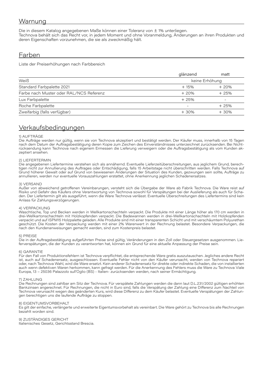# Warnung

Die in diesem Katalog angegebenen Maße können einer Toleranz von ± 1% unterliegen. Technova behält sich das Recht vor, in jedem Moment und ohne Voranmeldung, Änderungen an ihren Produkten und deren Eigenschaften vorzunehmen, die sie als zweckmäßig hält.

### Farben

Liste der Preiserhöhungen nach Farbbereich

|                                         | glänzend       | matt                         |
|-----------------------------------------|----------------|------------------------------|
| Weiß                                    | keine Erhöhung |                              |
| Standard Farbpalette 2021               | $+15%$         | $+20%$                       |
| Farbe nach Muster oder RAL/NCS Referenz | $+20%$         | $+25%$                       |
| Lux Farbpalette                         | $+25%$         | $\qquad \qquad \blacksquare$ |
| Roche Farbpalette                       |                | $+25%$                       |
| Zweifarbig (falls verfügbar)            | $+30%$         | $+30%$                       |
|                                         |                |                              |

# Verkaufsbedingungen

### 1) AUFTRÄGE

Die Aufträge werden nur gültig, wenn sie von Technova akzeptiert und bestätigt werden. Der Käufer muss, innerhalb von 15 Tagen nach dem Datum der Auftragsbestätigung deren Kopie zum Zeichen des Einverständnisses unterzeichnet zurücksenden. Bei Nichtrücksendung kann Technova nach eigenem Ermessen die Lieferung verweigern oder die Auftragsbestätigung als vom Kunden akzeptiert ansehen.

### 2) LIEFERTERMIN

Die angegebenen Liefertermine verstehen sich als annähernd. Eventuelle Lieferzeitüberschreitungen, aus jeglichem Grund, berechtigen nicht zur Annullierung des Auftrages oder Entschädigung, falls 15 Arbeitstage nicht überschritten werden. Falls Technova auf Grund höherer Gewalt oder auf Grund von bewiesenen Änderungen der Situation des Kunden, gezwungen sein sollte, Aufträge zu annullieren, werden nur eventuelle Vorauszahlungen erstattet, ohne Anerkennung jeglichen Schadenersatzes.

### 3) VERSAND

Außer von abweichend getroffenen Vereinbarungen, versteht sich die Übergabe der Ware ab Fabrik Technova. Die Ware reist auf Risiko und Gefahr des Käufers ohne Verantwortung von Technova sowohl für Verspätungen bei der Auslieferung als auch für Schaden. Der Liefertermin gilt als ausgeführt, wenn die Ware Technova verlässt. Eventuelle Überschreitungen des Liefertermins sind kein Anlass für Zahlungsverzögerungen.

### 4) VERPACKUNG

Waschtische, Top und Becken werden in Wellkartonschachteln verpackt. Die Produkte mit einer Länge höher als 170 cm werden in drei-Wellkartonschachteln mit Holzkopfenden verpackt. Die Badewannen werden in drei-Wellkartonschachteln mit Holzkopfenden verpackt und auf ISPM15 Holzpalette geladen. Alle Produkte sind mit einer transparenten Schicht und mit verschäumtem Polyurethan geschützt. Die Kosten der Verpackung werden mit einer 2% Warenwert in der Rechnung belastet. Besondere Verpackungen, die nach den Kundenanweisungen gemacht werden, sind zum Kostenpreis belastet.

### 5) PREISE

Die in der Auftragsbestätigung aufgeführten Preise sind gültig, Veränderungen in den Zoll oder Steuergesetzen ausgenommen. Lieferverspätungen, die der Kunden zu verantworten hat, können ein Grund für eine aktuelle Anpassung der Preise sein.

### 6) GARANTIE

Für den Fall von Produktionsfehlern ist Technova verpflichtet, die entsprechende Ware gratis auszutauschen. Jegliches andere Recht ist, auch auf Schadenersatz, ausgeschlossen. Eventuelle Fehler nicht von den Käufer verursacht, werden von Technova repariert oder, nach Technova Wahl, wird die Ware ersetzt. Kein anderer Schadenersatz für direkte oder indirekte Schaden, die von installierten auch wenn defektiven Waren herkommen, kann gefragt werden. Für die Anerkennung des Fehlers muss die Ware zu Technova Viale Europa, 13 – 25036 Palazzolo sull'Oglio (BS) - Italien- zurücksenden werden, nach seiner Ermächtigung.

### 7) ZAHLUNG

Die Rechnungen sind zahlbar am Sitz der Technova. Für verspätete Zahlungen werden die dann laut D.L.231/2002 gültigen erhöhten Bankzinsen angerechnet. Für Rechnungen, die nicht in Euro sind, falls die Verspätung der Zahlung eine Differenz zum Nachteil von Technova verursacht wegen des geänderten Kurs, wird diese Differenz zu dem Käufer belastet. Eventuelle Verspätungen der Zahlungen berechtigen uns die laufende Aufträge zu stoppen.

### 8) EIGENTUMSVORBEHALT

Es gilt der einfache, verlängerte und erweiterte Eigentumsvorbehalt als vereinbart. Die Ware gehört zu Technova bis alle Rechnungen bezahlt worden sind.

9) ZUSTÄNDIGES GERICHT Italienisches Gesetz, Gerichtsstand Brescia.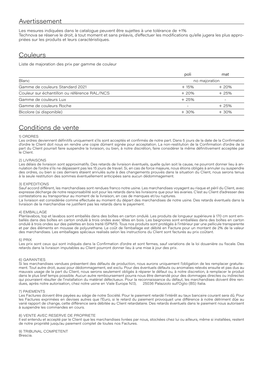# Avertissement

Les mesures indiquées dans le catalogue peuvent être sujettes à une tolérance de +1% Technova se réserve le droit, à tout moment et sans préavis, d'effectuer les modifications qu'elle jugera les plus appropriées sur les produits et leurs caractéristiques.

# **Couleurs**

Liste de majoration des prix par gamme de couleur

|                                              | poli          | mat    |
|----------------------------------------------|---------------|--------|
| <b>Blanc</b>                                 | no majoration |        |
| Gamme de couleurs Standard 2021              | $+15%$        | $+20%$ |
| Couleur sur échantillon ou référence RAL/NCS | $+20%$        | $+25%$ |
| Gamme de couleurs Lux                        | $+25%$        | -      |
| Gamme de couleurs Roche                      |               | $+25%$ |
| Bicolore (si disponible)                     | $+30%$        | $+30%$ |

# Conditions de vente

### 1) ORDRES

Les ordres deviennent définitifs uniquement s'ils sont acceptés et confirmés de notre part. Dans 5 jours de la date de la Confirmation d'ordre le Client doit nous en rendre une copie dûment signée pour acceptation. La non-restitution de la Confirmation d'ordre de la part du Client pourrait faire suspendre la livraison, ou bien, à notre discrétion, faire considérer la même définitivement acceptée par le Client.

#### 2) LIVRAISONS

Les délais de livraison sont approximatifs. Des retards de livraison éventuels, quelle qu'en soit la cause, ne pourront donner lieu à annulation de l'ordre s'ils ne dépassent pas les 15 jours de travail. Si, en cas de force majeure, nous étions obligés à annuler ou suspendre des ordres, ou bien si ces derniers étaient annulés suite à des changements prouvés dans la situation du Client, nous serons tenus à la seule restitution des sommes éventuellement anticipées sans aucun dédommagement.

#### 3) EXPEDITIONS

Sauf accord différent, les marchandises sont rendues franco notre usine. Les marchandises voyagent au risque et péril du Client, avec expresse décharge de notre responsabilité soit pour les retards dans les livraisons que pour les avaries. C'est au Client d'adresser des contestations au transporteur au moment de la livraison, en cas de manques et/ou ruptures.

La livraison est considérée comme effectuée au moment du départ des marchandises de notre usine. Des retards éventuels dans la livraison de la marchandise ne justifient pas les retards dans le payement.

#### 4) EMBALLAGE

Planlavabos, top et lavabos sont emballés dans des boîtes en carton ondulé. Les produits de longueur supérieure à 170 cm sont emballés dans des boîtes en carton ondulé à trois ondes avec têtes en bois. Les baignoires sont emballées dans des boîtes en carton ondulé à trois ondes sur des palettes en bois traité ISPM15. Tous nos produits sont protégés à l'intérieur par une pellicule transparente et par des éléments en mousse de polyurethane. Le coût de l'emballage est débité en Facture pour un montant de 2% de la valeur des marchandises. Les emballages spéciaux realisés selon les instructions du Client sont facturés au prix coûtant.

#### 5) PRIX

Les prix sont ceux qui sont indiqués dans la Confirmation d'ordre et sont fermes, sauf variations de la loi douanière ou fiscale. Des retards dans la livraison imputables au Client pourront donner lieu à une mise à jour des prix.

### 6) GARANTIES

Si les marchandises vendues présentent des défauts de production, nous aurons uniquement l'obligation de les remplacer gratuitement. Tout autre droit, aussi pour dédommagement, est exclu. Pour des éventuels défauts ou anomalies relevés ensuite et pas dus au mauvais usage de la part du Client, nous serons seulement obligés à réparer le défaut ou, à notre discretion, à remplacer le produit dans le plus bref temps possible. Aucun autre remboursement pourra nous être demandé pour des dommages directes ou indirectes qui pourraient résulter de l'installation du matériel défectueux. Pour la reconnaissance du défaut, les marchandises doivent être rendues, après notre autorisation, chez notre usine en Viale Europa N.13, 25036 Palazzolo sull'Oglio (BS) Italia.

### 7) PAIEMENTS

Les Factures doivent être payées au siège de notre Société. Pour le paiement retardé l'intérêt au taux bancaire courant sera dû. Pour les Factures exprimées en devises autres que l'Euro, si le retard du paiement provoquait une différence à notre détriment dûe au varié rapport de change, cette différence sera débitée au Client retardataire. Des retards éventuels dans le paiement nous autorisent à suspendre les commandes en cours.

#### 8) VENTE AVEC RESERVE DE PROPRIETE

Il est entendu et accepté par le Client que les marchandises livrées par nous, stockées chez lui ou ailleurs, même si installées, restent de notre propriété jusqu'au paiement complet de toutes nos Factures.

#### 9) TRIBUNAL COMPETENT Brescia.